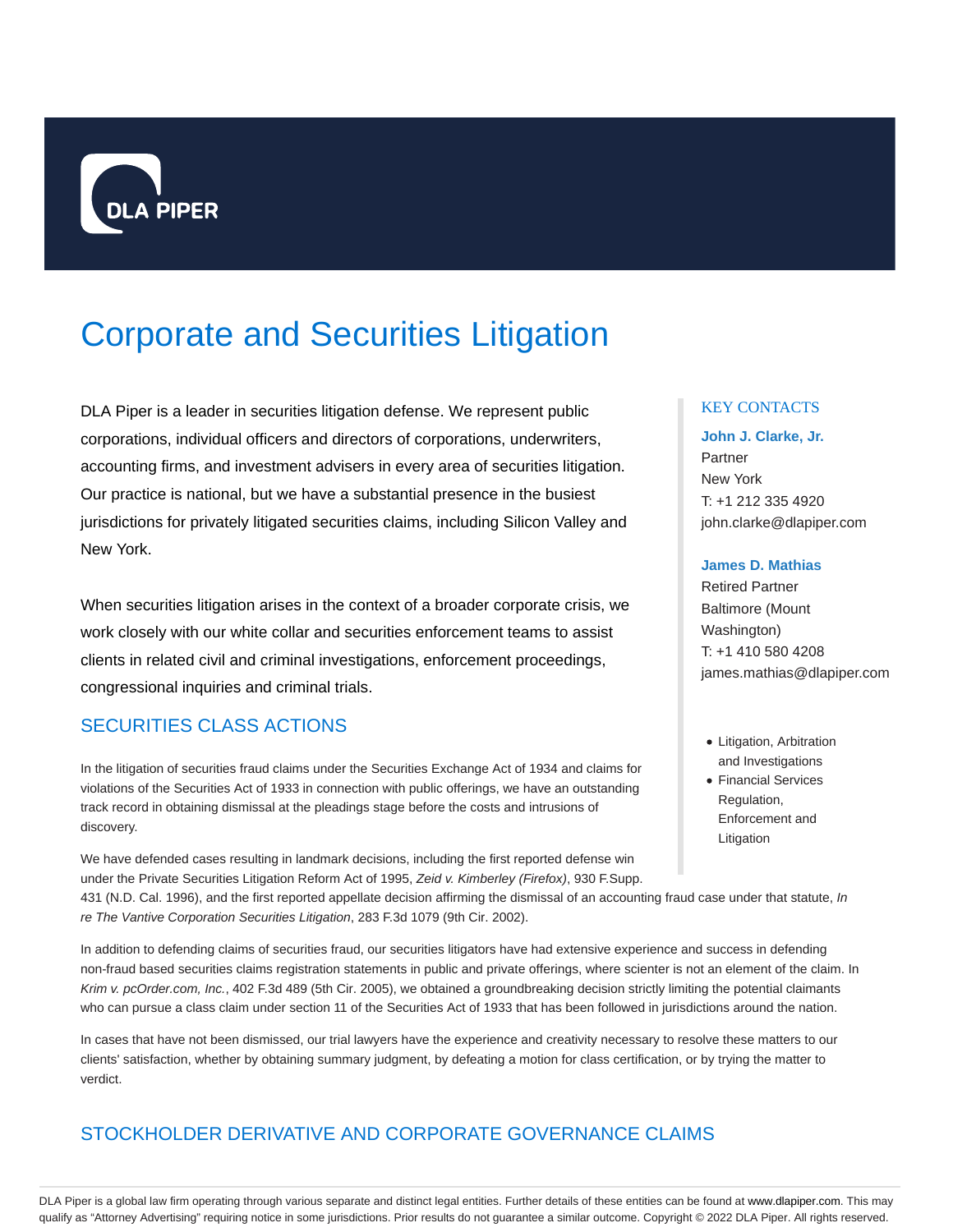

# Corporate and Securities Litigation

DLA Piper is a leader in securities litigation defense. We represent public corporations, individual officers and directors of corporations, underwriters, accounting firms, and investment advisers in every area of securities litigation. Our practice is national, but we have a substantial presence in the busiest jurisdictions for privately litigated securities claims, including Silicon Valley and New York.

When securities litigation arises in the context of a broader corporate crisis, we work closely with our white collar and securities enforcement teams to assist clients in related civil and criminal investigations, enforcement proceedings, congressional inquiries and criminal trials.

# SECURITIES CLASS ACTIONS

In the litigation of securities fraud claims under the Securities Exchange Act of 1934 and claims for violations of the Securities Act of 1933 in connection with public offerings, we have an outstanding track record in obtaining dismissal at the pleadings stage before the costs and intrusions of discovery.

We have defended cases resulting in landmark decisions, including the first reported defense win under the Private Securities Litigation Reform Act of 1995, Zeid v. Kimberley (Firefox), 930 F.Supp.

431 (N.D. Cal. 1996), and the first reported appellate decision affirming the dismissal of an accounting fraud case under that statute, In re The Vantive Corporation Securities Litigation, 283 F.3d 1079 (9th Cir. 2002).

In addition to defending claims of securities fraud, our securities litigators have had extensive experience and success in defending non-fraud based securities claims registration statements in public and private offerings, where scienter is not an element of the claim. In Krim v. pcOrder.com, Inc., 402 F.3d 489 (5th Cir. 2005), we obtained a groundbreaking decision strictly limiting the potential claimants who can pursue a class claim under section 11 of the Securities Act of 1933 that has been followed in jurisdictions around the nation.

In cases that have not been dismissed, our trial lawyers have the experience and creativity necessary to resolve these matters to our clients' satisfaction, whether by obtaining summary judgment, by defeating a motion for class certification, or by trying the matter to verdict.

# STOCKHOLDER DERIVATIVE AND CORPORATE GOVERNANCE CLAIMS

# KEY CONTACTS

# **John J. Clarke, Jr.** Partner New York T: +1 212 335 4920 john.clarke@dlapiper.com

#### **James D. Mathias**

Retired Partner Baltimore (Mount Washington) T: +1 410 580 4208 james.mathias@dlapiper.com

- Litigation, Arbitration and Investigations
- Financial Services Regulation, Enforcement and Litigation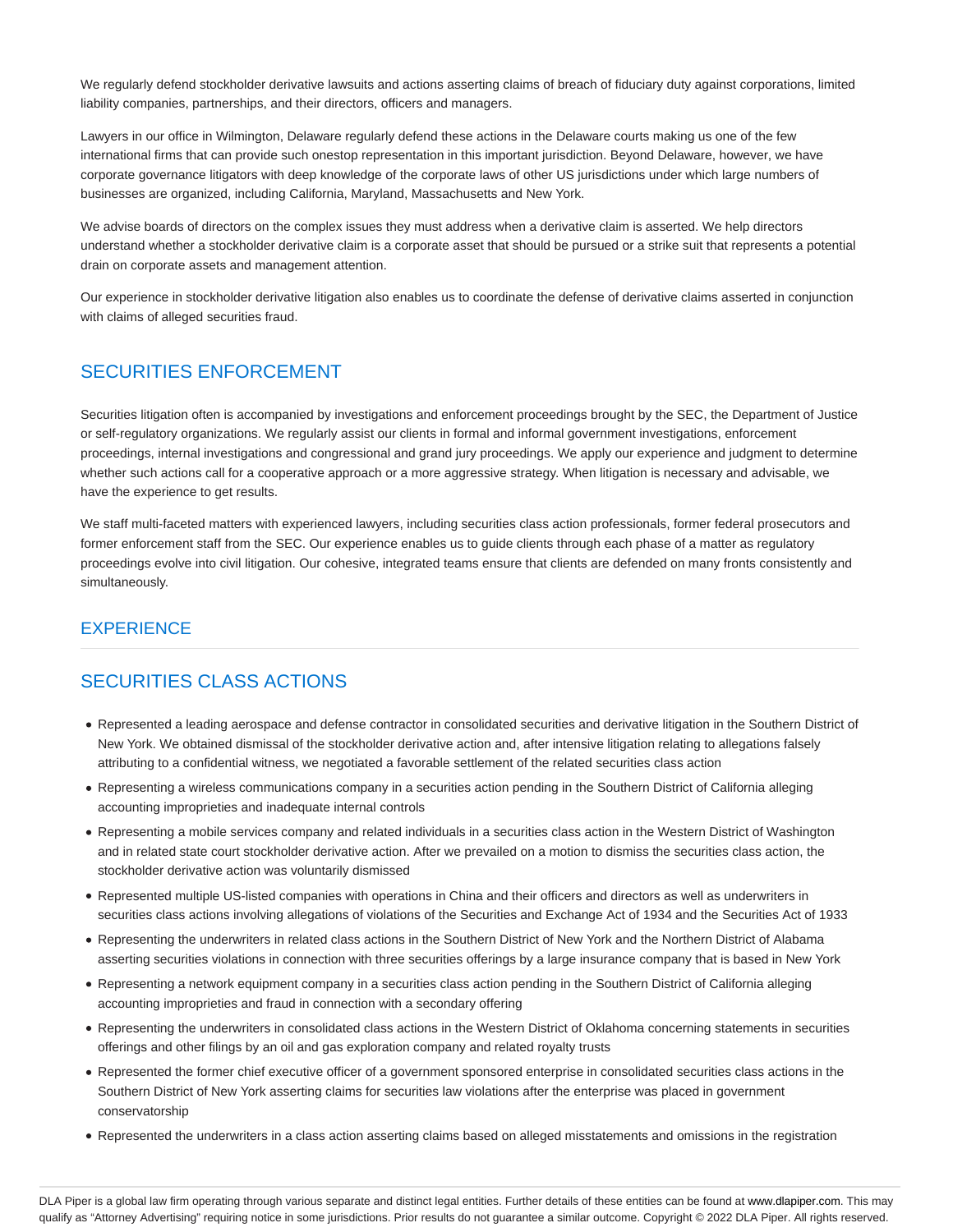We regularly defend stockholder derivative lawsuits and actions asserting claims of breach of fiduciary duty against corporations, limited liability companies, partnerships, and their directors, officers and managers.

Lawyers in our office in Wilmington, Delaware regularly defend these actions in the Delaware courts making us one of the few international firms that can provide such onestop representation in this important jurisdiction. Beyond Delaware, however, we have corporate governance litigators with deep knowledge of the corporate laws of other US jurisdictions under which large numbers of businesses are organized, including California, Maryland, Massachusetts and New York.

We advise boards of directors on the complex issues they must address when a derivative claim is asserted. We help directors understand whether a stockholder derivative claim is a corporate asset that should be pursued or a strike suit that represents a potential drain on corporate assets and management attention.

Our experience in stockholder derivative litigation also enables us to coordinate the defense of derivative claims asserted in conjunction with claims of alleged securities fraud.

# SECURITIES ENFORCEMENT

Securities litigation often is accompanied by investigations and enforcement proceedings brought by the SEC, the Department of Justice or self-regulatory organizations. We regularly assist our clients in formal and informal government investigations, enforcement proceedings, internal investigations and congressional and grand jury proceedings. We apply our experience and judgment to determine whether such actions call for a cooperative approach or a more aggressive strategy. When litigation is necessary and advisable, we have the experience to get results.

We staff multi-faceted matters with experienced lawyers, including securities class action professionals, former federal prosecutors and former enforcement staff from the SEC. Our experience enables us to guide clients through each phase of a matter as regulatory proceedings evolve into civil litigation. Our cohesive, integrated teams ensure that clients are defended on many fronts consistently and simultaneously.

# **EXPERIENCE**

# SECURITIES CLASS ACTIONS

- Represented a leading aerospace and defense contractor in consolidated securities and derivative litigation in the Southern District of New York. We obtained dismissal of the stockholder derivative action and, after intensive litigation relating to allegations falsely attributing to a confidential witness, we negotiated a favorable settlement of the related securities class action
- Representing a wireless communications company in a securities action pending in the Southern District of California alleging accounting improprieties and inadequate internal controls
- Representing a mobile services company and related individuals in a securities class action in the Western District of Washington and in related state court stockholder derivative action. After we prevailed on a motion to dismiss the securities class action, the stockholder derivative action was voluntarily dismissed
- Represented multiple US-listed companies with operations in China and their officers and directors as well as underwriters in securities class actions involving allegations of violations of the Securities and Exchange Act of 1934 and the Securities Act of 1933
- Representing the underwriters in related class actions in the Southern District of New York and the Northern District of Alabama asserting securities violations in connection with three securities offerings by a large insurance company that is based in New York
- Representing a network equipment company in a securities class action pending in the Southern District of California alleging accounting improprieties and fraud in connection with a secondary offering
- Representing the underwriters in consolidated class actions in the Western District of Oklahoma concerning statements in securities offerings and other filings by an oil and gas exploration company and related royalty trusts
- Represented the former chief executive officer of a government sponsored enterprise in consolidated securities class actions in the Southern District of New York asserting claims for securities law violations after the enterprise was placed in government conservatorship
- Represented the underwriters in a class action asserting claims based on alleged misstatements and omissions in the registration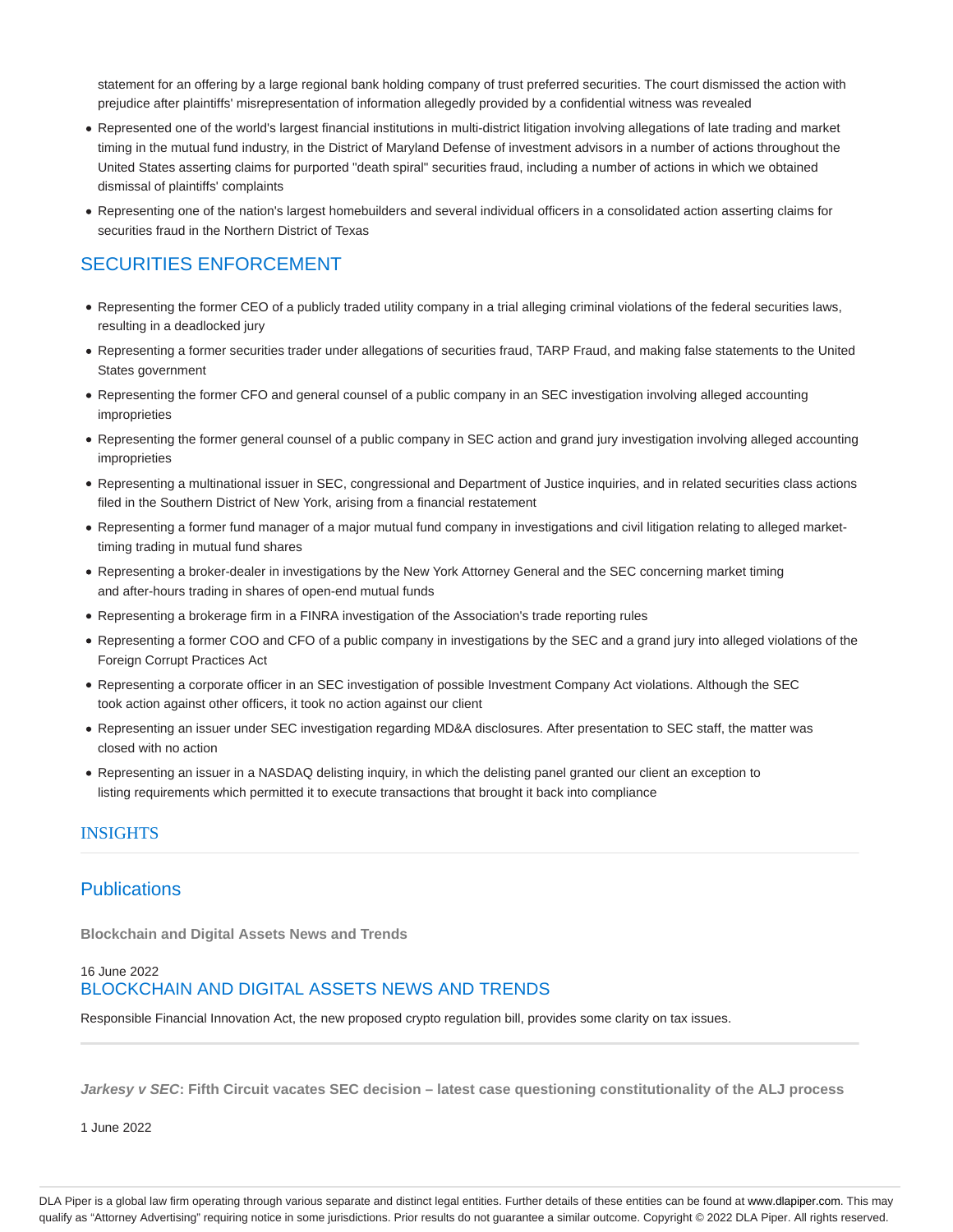statement for an offering by a large regional bank holding company of trust preferred securities. The court dismissed the action with prejudice after plaintiffs' misrepresentation of information allegedly provided by a confidential witness was revealed

- Represented one of the world's largest financial institutions in multi-district litigation involving allegations of late trading and market timing in the mutual fund industry, in the District of Maryland Defense of investment advisors in a number of actions throughout the United States asserting claims for purported "death spiral" securities fraud, including a number of actions in which we obtained dismissal of plaintiffs' complaints
- Representing one of the nation's largest homebuilders and several individual officers in a consolidated action asserting claims for securities fraud in the Northern District of Texas

# SECURITIES ENFORCEMENT

- Representing the former CEO of a publicly traded utility company in a trial alleging criminal violations of the federal securities laws, resulting in a deadlocked jury
- Representing a former securities trader under allegations of securities fraud, TARP Fraud, and making false statements to the United States government
- Representing the former CFO and general counsel of a public company in an SEC investigation involving alleged accounting improprieties
- Representing the former general counsel of a public company in SEC action and grand jury investigation involving alleged accounting improprieties
- Representing a multinational issuer in SEC, congressional and Department of Justice inquiries, and in related securities class actions filed in the Southern District of New York, arising from a financial restatement
- Representing a former fund manager of a major mutual fund company in investigations and civil litigation relating to alleged markettiming trading in mutual fund shares
- Representing a broker-dealer in investigations by the New York Attorney General and the SEC concerning market timing and after-hours trading in shares of open-end mutual funds
- Representing a brokerage firm in a FINRA investigation of the Association's trade reporting rules
- Representing a former COO and CFO of a public company in investigations by the SEC and a grand jury into alleged violations of the Foreign Corrupt Practices Act
- Representing a corporate officer in an SEC investigation of possible Investment Company Act violations. Although the SEC took action against other officers, it took no action against our client
- Representing an issuer under SEC investigation regarding MD&A disclosures. After presentation to SEC staff, the matter was closed with no action
- Representing an issuer in a NASDAQ delisting inquiry, in which the delisting panel granted our client an exception to listing requirements which permitted it to execute transactions that brought it back into compliance

### **INSIGHTS**

# **Publications**

**Blockchain and Digital Assets News and Trends**

### 16 June 2022 BLOCKCHAIN AND DIGITAL ASSETS NEWS AND TRENDS

Responsible Financial Innovation Act, the new proposed crypto regulation bill, provides some clarity on tax issues.

**Jarkesy v SEC: Fifth Circuit vacates SEC decision – latest case questioning constitutionality of the ALJ process**

1 June 2022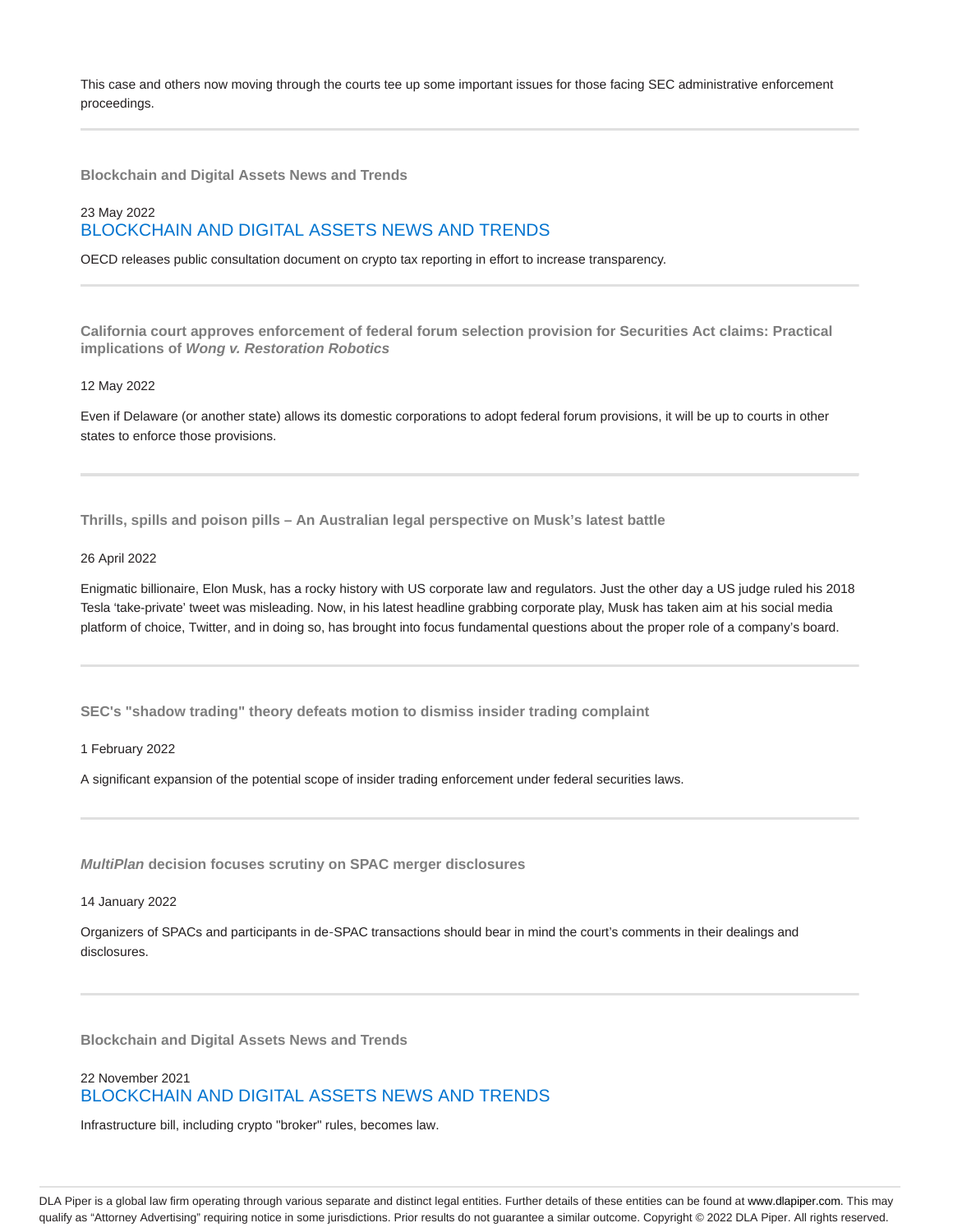This case and others now moving through the courts tee up some important issues for those facing SEC administrative enforcement proceedings.

**Blockchain and Digital Assets News and Trends**

# 23 May 2022 BLOCKCHAIN AND DIGITAL ASSETS NEWS AND TRENDS

OECD releases public consultation document on crypto tax reporting in effort to increase transparency.

**California court approves enforcement of federal forum selection provision for Securities Act claims: Practical implications of Wong v. Restoration Robotics**

#### 12 May 2022

Even if Delaware (or another state) allows its domestic corporations to adopt federal forum provisions, it will be up to courts in other states to enforce those provisions.

**Thrills, spills and poison pills – An Australian legal perspective on Musk's latest battle**

#### 26 April 2022

Enigmatic billionaire, Elon Musk, has a rocky history with US corporate law and regulators. Just the other day a US judge ruled his 2018 Tesla 'take-private' tweet was misleading. Now, in his latest headline grabbing corporate play, Musk has taken aim at his social media platform of choice, Twitter, and in doing so, has brought into focus fundamental questions about the proper role of a company's board.

**SEC's "shadow trading" theory defeats motion to dismiss insider trading complaint**

1 February 2022

A significant expansion of the potential scope of insider trading enforcement under federal securities laws.

**MultiPlan decision focuses scrutiny on SPAC merger disclosures**

14 January 2022

Organizers of SPACs and participants in de‑SPAC transactions should bear in mind the court's comments in their dealings and disclosures.

**Blockchain and Digital Assets News and Trends**

# 22 November 2021 BLOCKCHAIN AND DIGITAL ASSETS NEWS AND TRENDS

Infrastructure bill, including crypto "broker" rules, becomes law.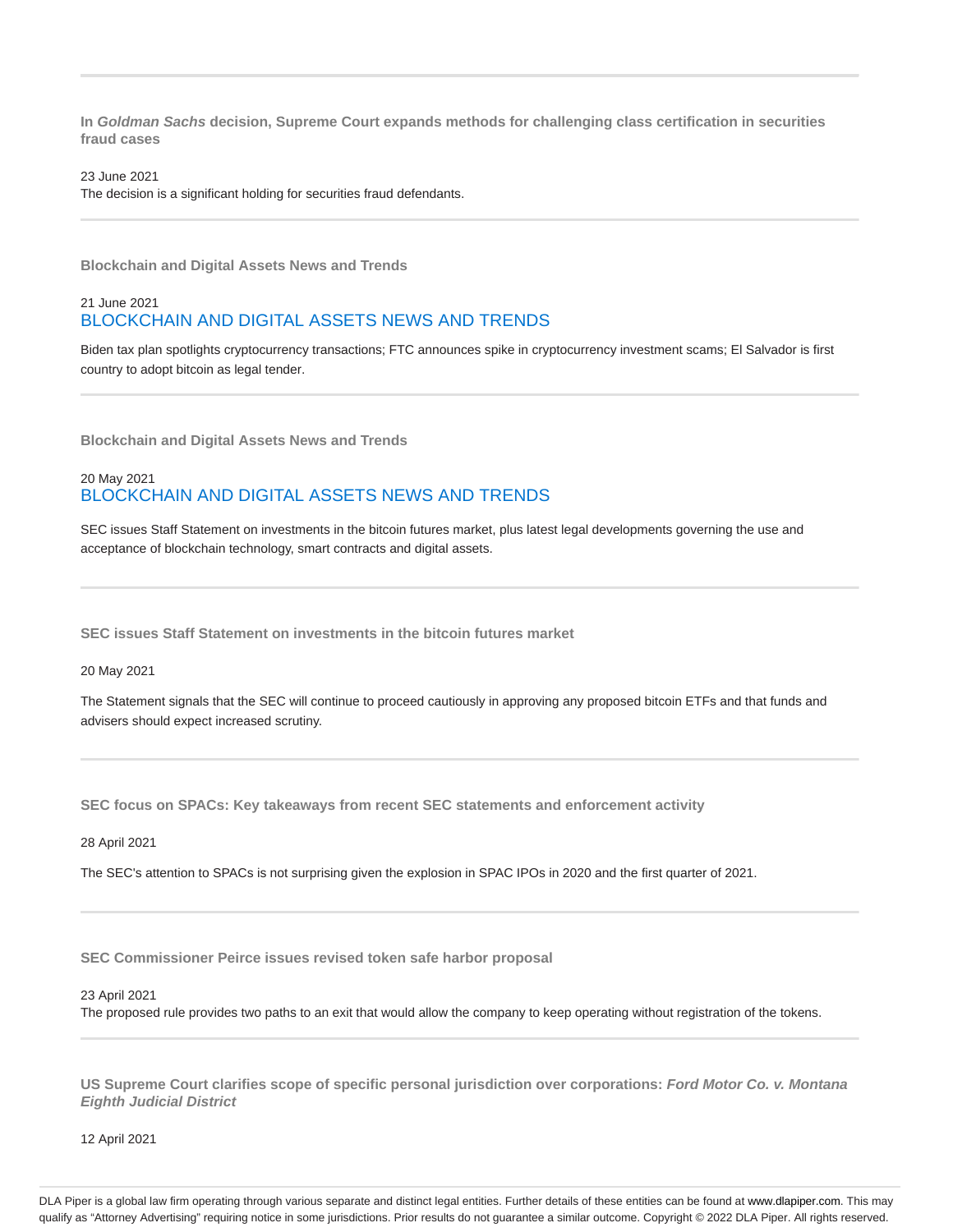**In Goldman Sachs decision, Supreme Court expands methods for challenging class certification in securities fraud cases**

23 June 2021

The decision is a significant holding for securities fraud defendants.

**Blockchain and Digital Assets News and Trends**

### 21 June 2021 BLOCKCHAIN AND DIGITAL ASSETS NEWS AND TRENDS

Biden tax plan spotlights cryptocurrency transactions; FTC announces spike in cryptocurrency investment scams; El Salvador is first country to adopt bitcoin as legal tender.

**Blockchain and Digital Assets News and Trends**

# 20 May 2021 BLOCKCHAIN AND DIGITAL ASSETS NEWS AND TRENDS

SEC issues Staff Statement on investments in the bitcoin futures market, plus latest legal developments governing the use and acceptance of blockchain technology, smart contracts and digital assets.

**SEC issues Staff Statement on investments in the bitcoin futures market**

20 May 2021

The Statement signals that the SEC will continue to proceed cautiously in approving any proposed bitcoin ETFs and that funds and advisers should expect increased scrutiny.

**SEC focus on SPACs: Key takeaways from recent SEC statements and enforcement activity**

28 April 2021

The SEC's attention to SPACs is not surprising given the explosion in SPAC IPOs in 2020 and the first quarter of 2021.

**SEC Commissioner Peirce issues revised token safe harbor proposal**

23 April 2021

The proposed rule provides two paths to an exit that would allow the company to keep operating without registration of the tokens.

**US Supreme Court clarifies scope of specific personal jurisdiction over corporations: Ford Motor Co. v. Montana Eighth Judicial District**

12 April 2021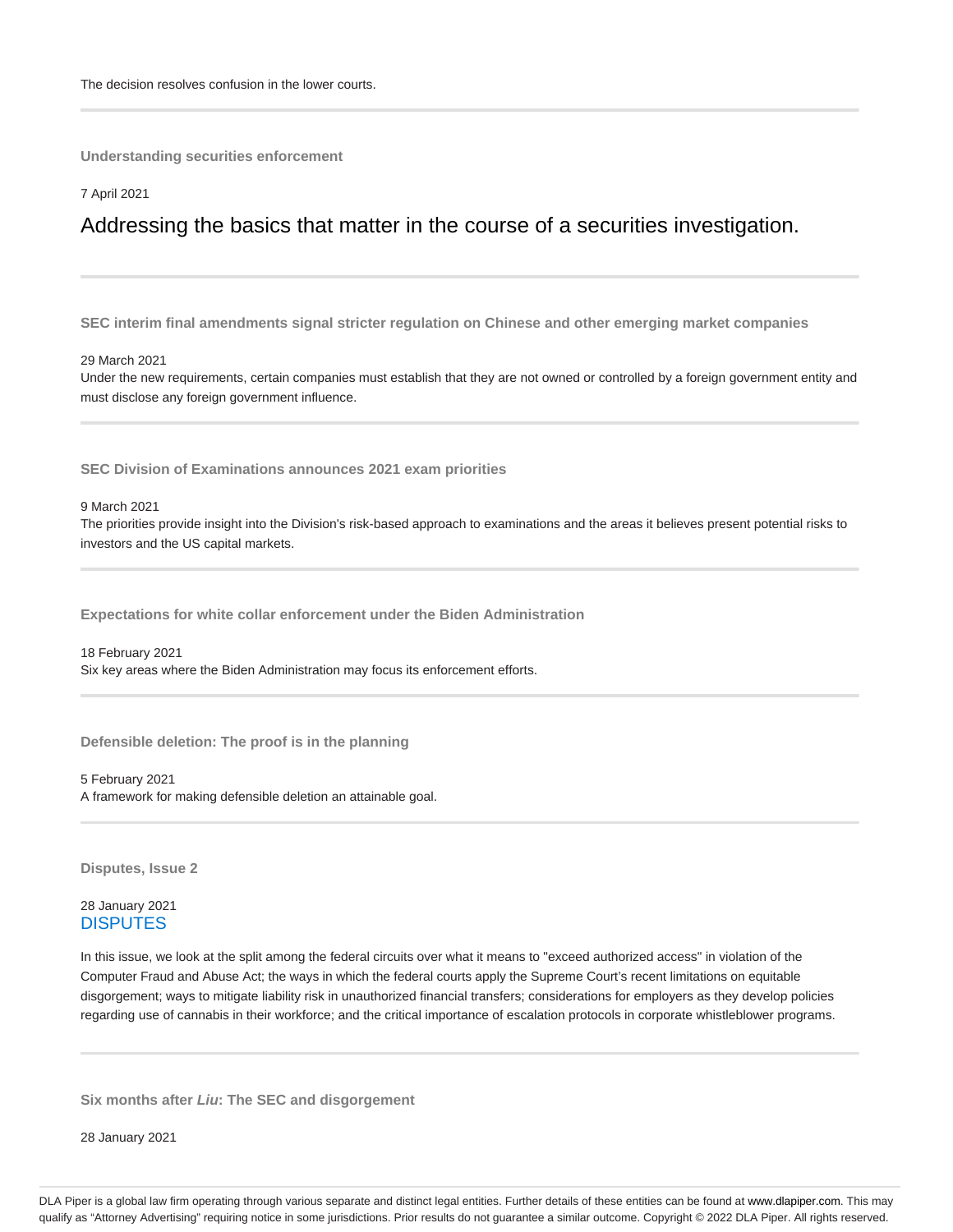**Understanding securities enforcement**

#### 7 April 2021

# Addressing the basics that matter in the course of a securities investigation.

**SEC interim final amendments signal stricter regulation on Chinese and other emerging market companies**

#### 29 March 2021

Under the new requirements, certain companies must establish that they are not owned or controlled by a foreign government entity and must disclose any foreign government influence.

**SEC Division of Examinations announces 2021 exam priorities**

9 March 2021

The priorities provide insight into the Division's risk-based approach to examinations and the areas it believes present potential risks to investors and the US capital markets.

**Expectations for white collar enforcement under the Biden Administration**

18 February 2021 Six key areas where the Biden Administration may focus its enforcement efforts.

**Defensible deletion: The proof is in the planning**

5 February 2021 A framework for making defensible deletion an attainable goal.

**Disputes, Issue 2**

#### 28 January 2021 **DISPUTES**

In this issue, we look at the split among the federal circuits over what it means to "exceed authorized access" in violation of the Computer Fraud and Abuse Act; the ways in which the federal courts apply the Supreme Court's recent limitations on equitable disgorgement; ways to mitigate liability risk in unauthorized financial transfers; considerations for employers as they develop policies regarding use of cannabis in their workforce; and the critical importance of escalation protocols in corporate whistleblower programs.

**Six months after Liu: The SEC and disgorgement**

28 January 2021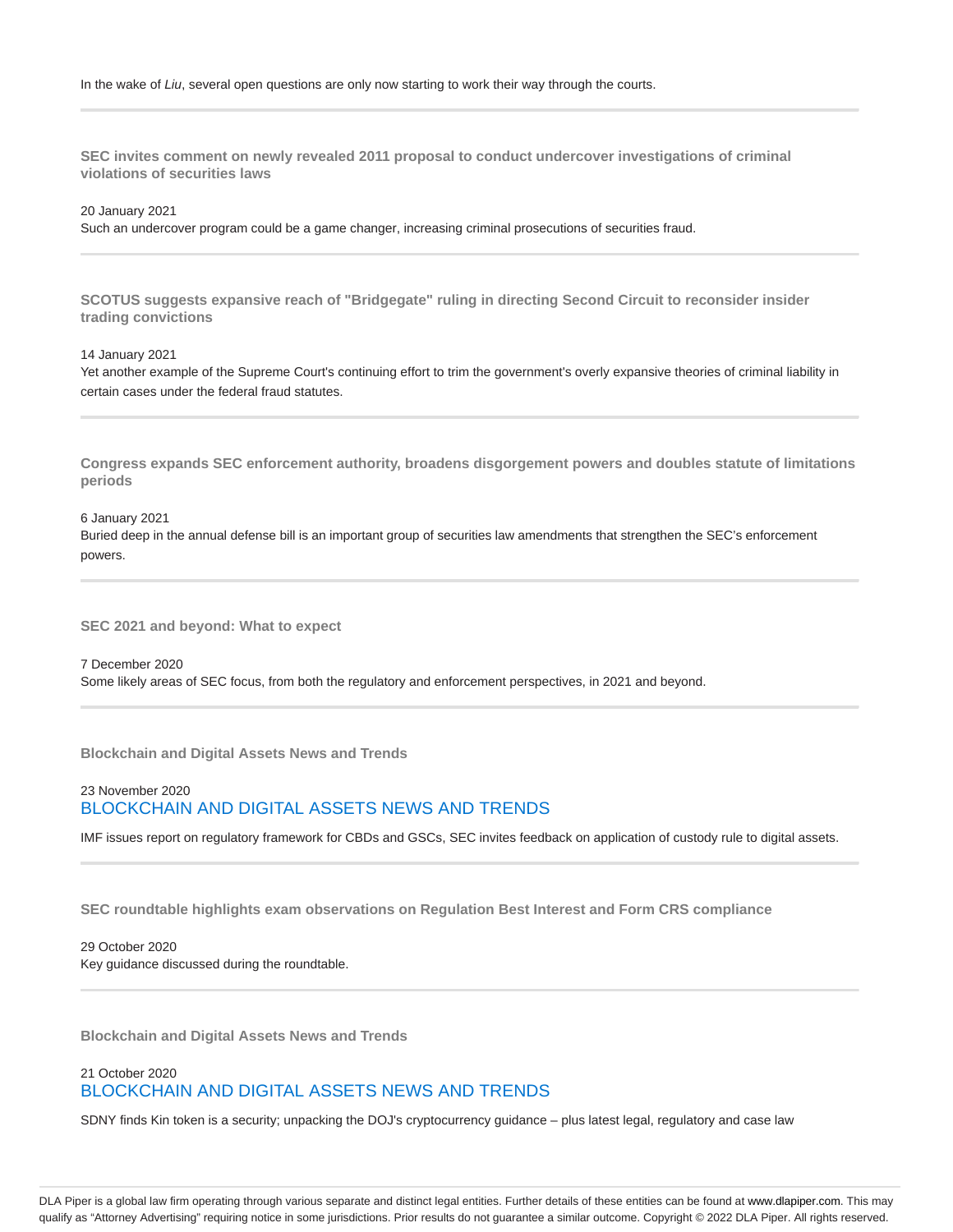**SEC invites comment on newly revealed 2011 proposal to conduct undercover investigations of criminal violations of securities laws**

20 January 2021

Such an undercover program could be a game changer, increasing criminal prosecutions of securities fraud.

**SCOTUS suggests expansive reach of "Bridgegate" ruling in directing Second Circuit to reconsider insider trading convictions**

14 January 2021

Yet another example of the Supreme Court's continuing effort to trim the government's overly expansive theories of criminal liability in certain cases under the federal fraud statutes.

**Congress expands SEC enforcement authority, broadens disgorgement powers and doubles statute of limitations periods**

6 January 2021 Buried deep in the annual defense bill is an important group of securities law amendments that strengthen the SEC's enforcement powers.

**SEC 2021 and beyond: What to expect**

7 December 2020 Some likely areas of SEC focus, from both the regulatory and enforcement perspectives, in 2021 and beyond.

**Blockchain and Digital Assets News and Trends**

23 November 2020 BLOCKCHAIN AND DIGITAL ASSETS NEWS AND TRENDS

IMF issues report on regulatory framework for CBDs and GSCs, SEC invites feedback on application of custody rule to digital assets.

**SEC roundtable highlights exam observations on Regulation Best Interest and Form CRS compliance**

29 October 2020 Key guidance discussed during the roundtable.

**Blockchain and Digital Assets News and Trends**

### 21 October 2020 BLOCKCHAIN AND DIGITAL ASSETS NEWS AND TRENDS

SDNY finds Kin token is a security; unpacking the DOJ's cryptocurrency guidance – plus latest legal, regulatory and case law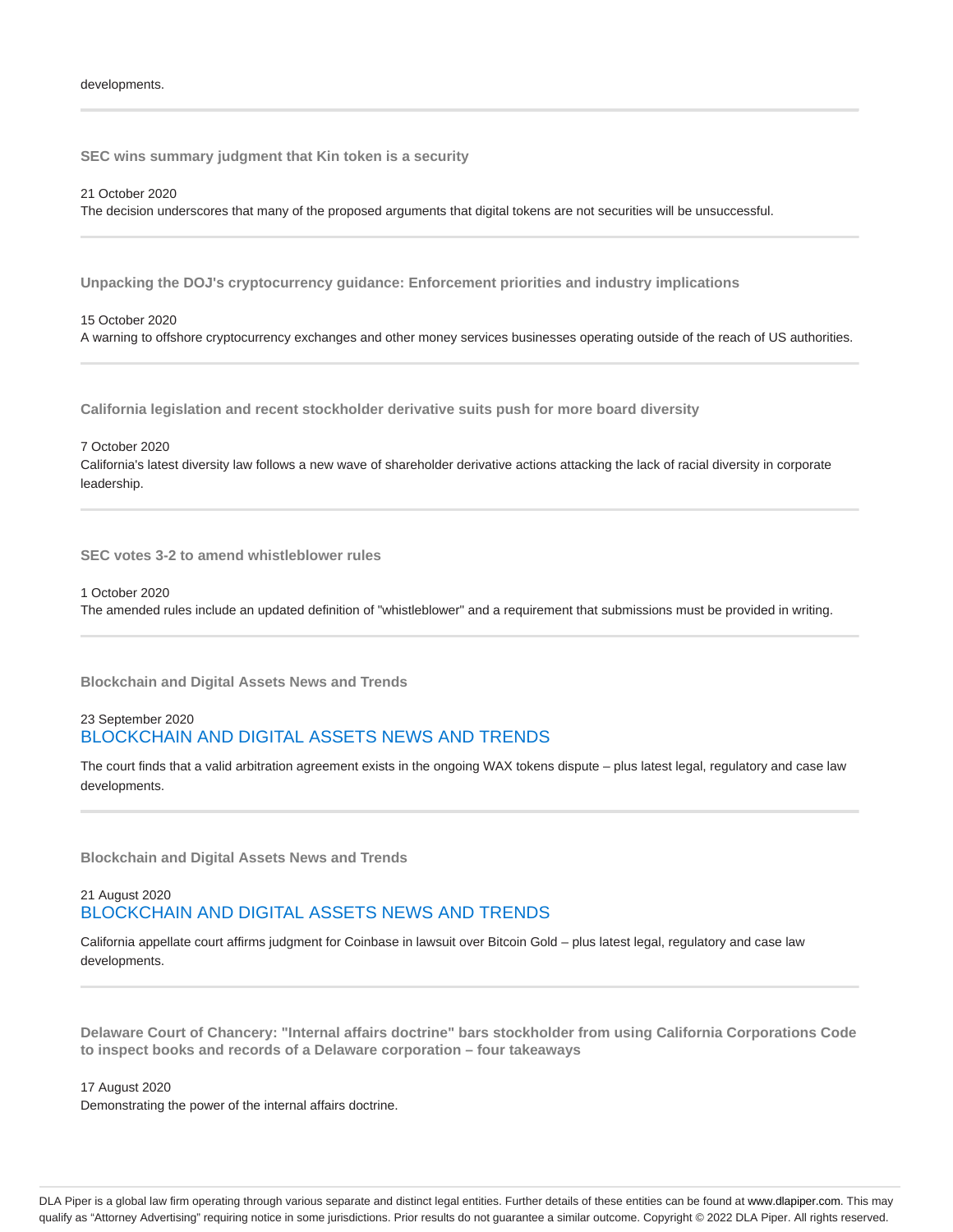**SEC wins summary judgment that Kin token is a security**

21 October 2020 The decision underscores that many of the proposed arguments that digital tokens are not securities will be unsuccessful.

**Unpacking the DOJ's cryptocurrency guidance: Enforcement priorities and industry implications**

15 October 2020 A warning to offshore cryptocurrency exchanges and other money services businesses operating outside of the reach of US authorities.

**California legislation and recent stockholder derivative suits push for more board diversity**

7 October 2020 California's latest diversity law follows a new wave of shareholder derivative actions attacking the lack of racial diversity in corporate leadership.

**SEC votes 3-2 to amend whistleblower rules**

1 October 2020 The amended rules include an updated definition of "whistleblower" and a requirement that submissions must be provided in writing.

**Blockchain and Digital Assets News and Trends**

# 23 September 2020 BLOCKCHAIN AND DIGITAL ASSETS NEWS AND TRENDS

The court finds that a valid arbitration agreement exists in the ongoing WAX tokens dispute – plus latest legal, regulatory and case law developments.

**Blockchain and Digital Assets News and Trends**

### 21 August 2020 BLOCKCHAIN AND DIGITAL ASSETS NEWS AND TRENDS

California appellate court affirms judgment for Coinbase in lawsuit over Bitcoin Gold – plus latest legal, regulatory and case law developments.

**Delaware Court of Chancery: "Internal affairs doctrine" bars stockholder from using California Corporations Code to inspect books and records of a Delaware corporation – four takeaways**

17 August 2020

Demonstrating the power of the internal affairs doctrine.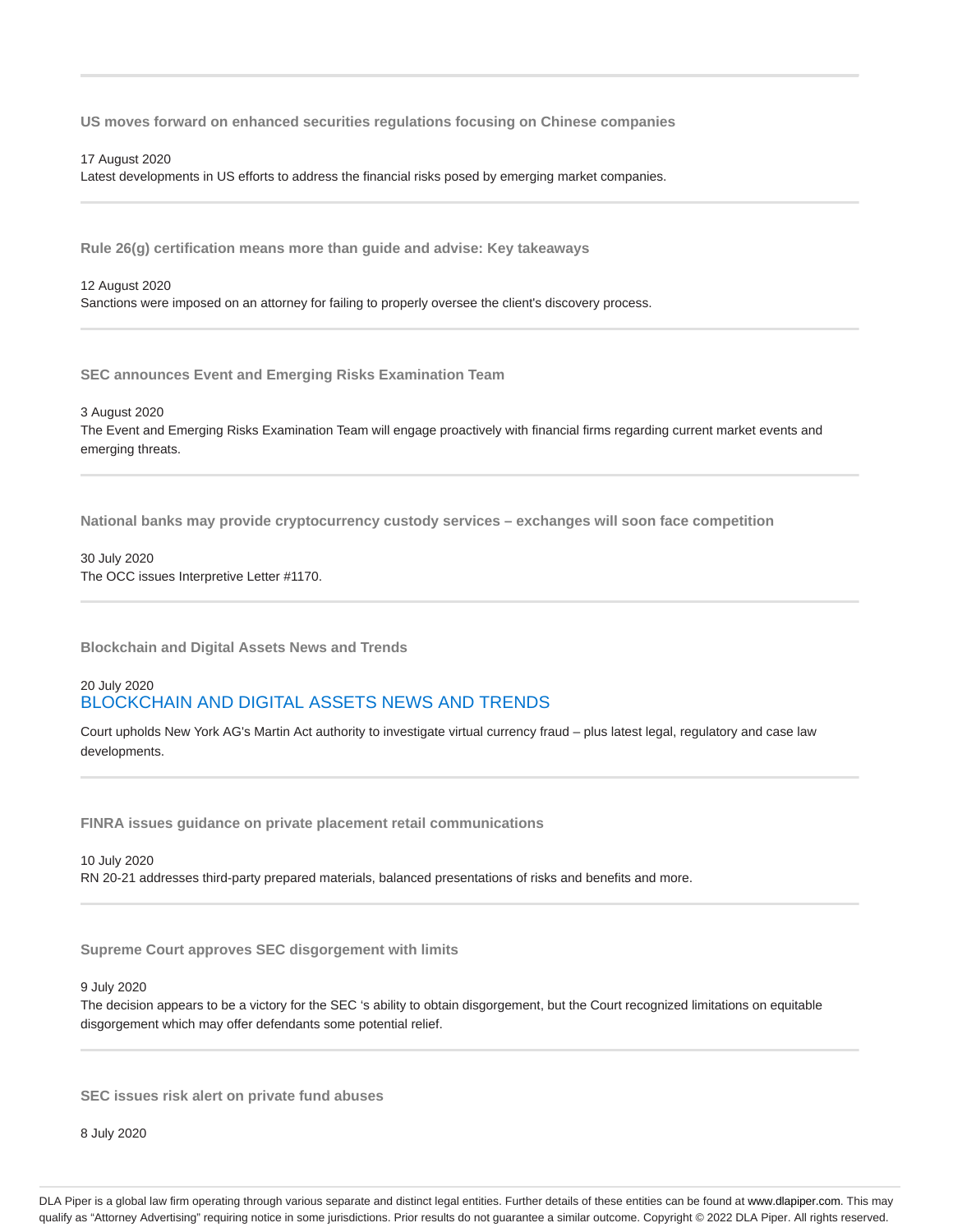**US moves forward on enhanced securities regulations focusing on Chinese companies**

#### 17 August 2020

Latest developments in US efforts to address the financial risks posed by emerging market companies.

**Rule 26(g) certification means more than guide and advise: Key takeaways**

#### 12 August 2020

Sanctions were imposed on an attorney for failing to properly oversee the client's discovery process.

**SEC announces Event and Emerging Risks Examination Team**

3 August 2020

The Event and Emerging Risks Examination Team will engage proactively with financial firms regarding current market events and emerging threats.

**National banks may provide cryptocurrency custody services – exchanges will soon face competition**

30 July 2020 The OCC issues Interpretive Letter #1170.

**Blockchain and Digital Assets News and Trends**

### 20 July 2020 BLOCKCHAIN AND DIGITAL ASSETS NEWS AND TRENDS

Court upholds New York AG's Martin Act authority to investigate virtual currency fraud – plus latest legal, regulatory and case law developments.

**FINRA issues guidance on private placement retail communications**

10 July 2020 RN 20-21 addresses third-party prepared materials, balanced presentations of risks and benefits and more.

**Supreme Court approves SEC disgorgement with limits**

#### 9 July 2020

The decision appears to be a victory for the SEC 's ability to obtain disgorgement, but the Court recognized limitations on equitable disgorgement which may offer defendants some potential relief.

**SEC issues risk alert on private fund abuses**

8 July 2020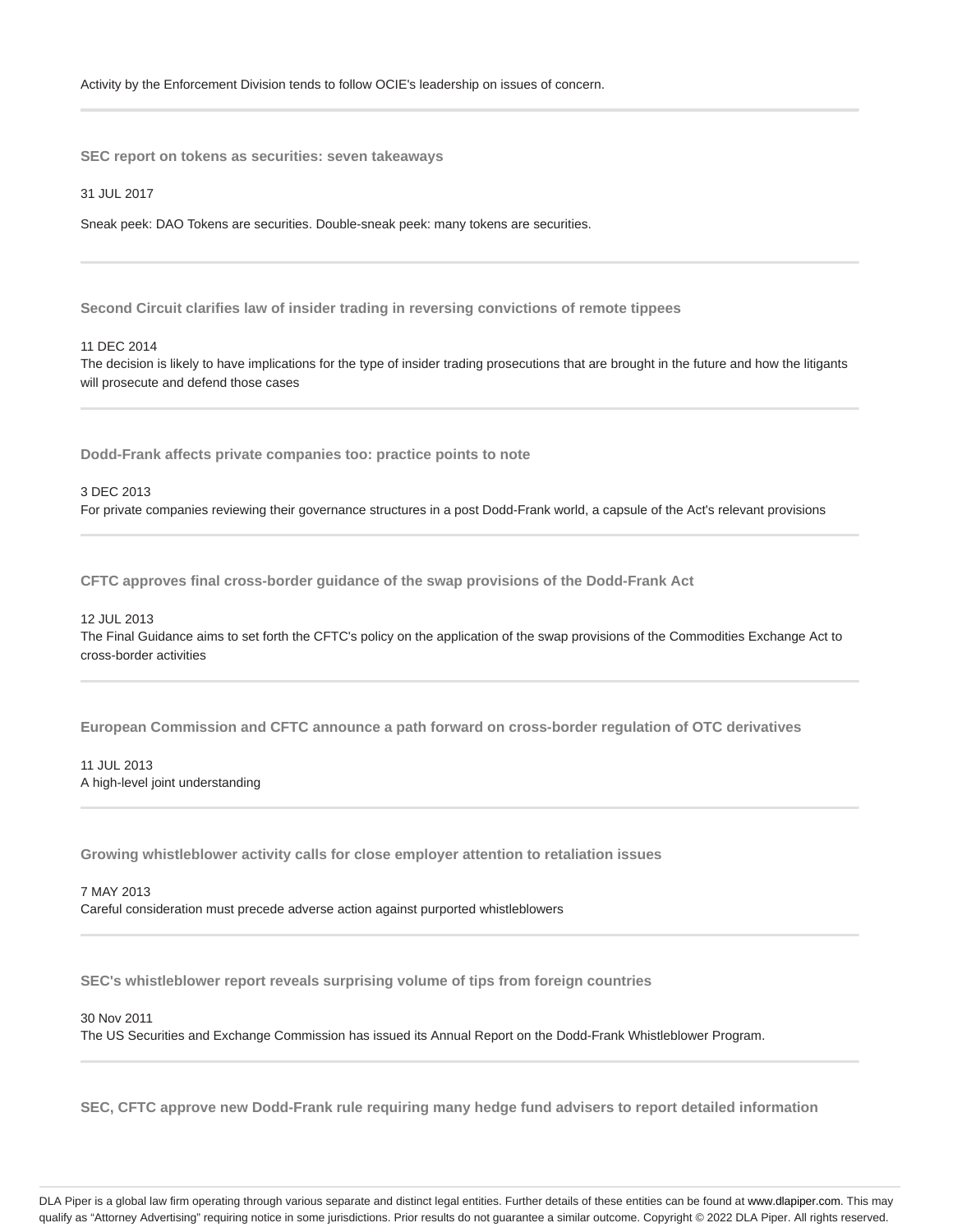**SEC report on tokens as securities: seven takeaways**

31 JUL 2017

Sneak peek: DAO Tokens are securities. Double-sneak peek: many tokens are securities.

**Second Circuit clarifies law of insider trading in reversing convictions of remote tippees**

#### 11 DEC 2014

The decision is likely to have implications for the type of insider trading prosecutions that are brought in the future and how the litigants will prosecute and defend those cases

**Dodd-Frank affects private companies too: practice points to note**

#### 3 DEC 2013

For private companies reviewing their governance structures in a post Dodd-Frank world, a capsule of the Act's relevant provisions

**CFTC approves final cross-border guidance of the swap provisions of the Dodd-Frank Act**

#### 12 JUL 2013

The Final Guidance aims to set forth the CFTC's policy on the application of the swap provisions of the Commodities Exchange Act to cross-border activities

**European Commission and CFTC announce a path forward on cross-border regulation of OTC derivatives**

### 11 JUL 2013 A high-level joint understanding

**Growing whistleblower activity calls for close employer attention to retaliation issues**

7 MAY 2013 Careful consideration must precede adverse action against purported whistleblowers

**SEC's whistleblower report reveals surprising volume of tips from foreign countries**

30 Nov 2011

The US Securities and Exchange Commission has issued its Annual Report on the Dodd-Frank Whistleblower Program.

**SEC, CFTC approve new Dodd-Frank rule requiring many hedge fund advisers to report detailed information**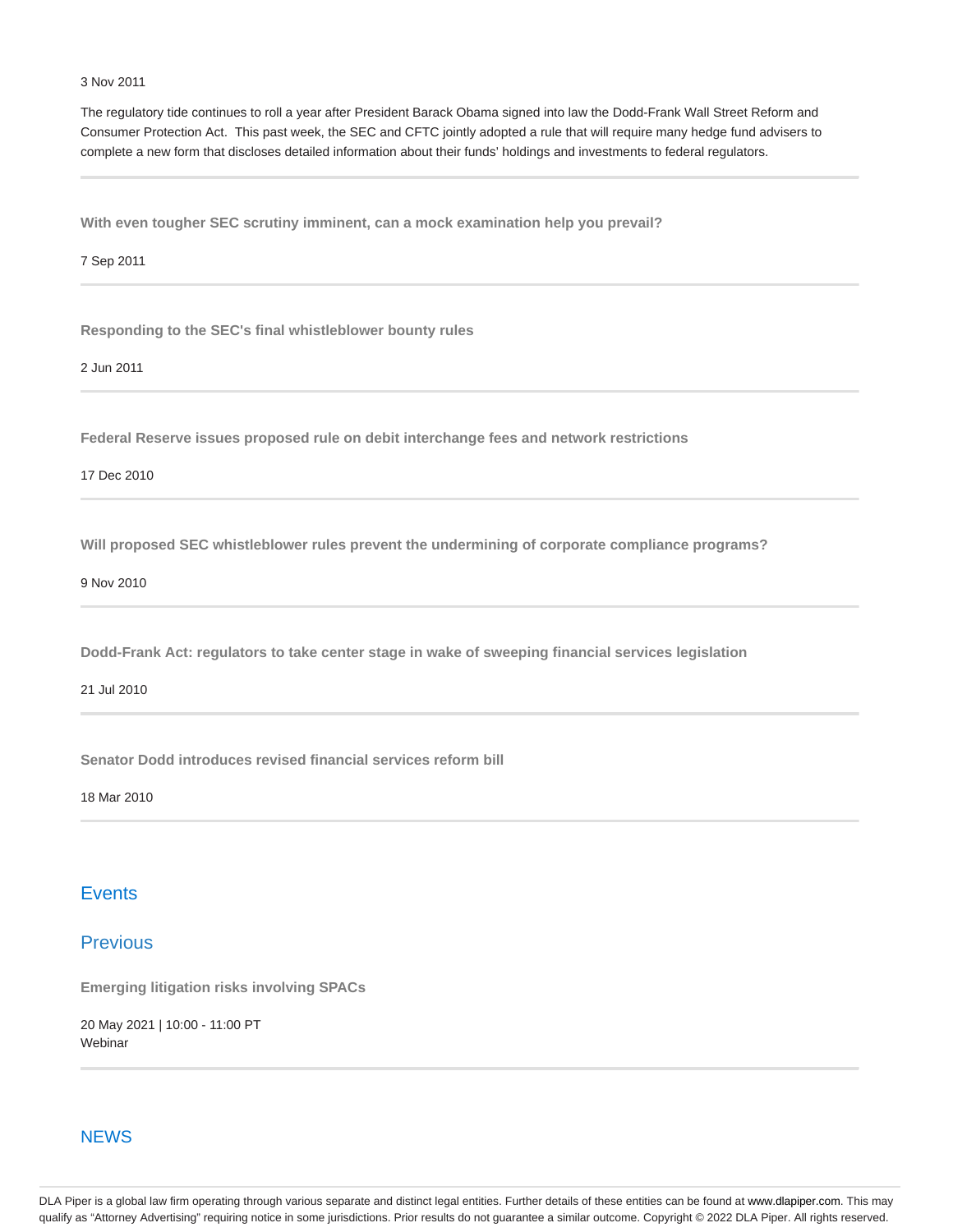#### 3 Nov 2011

The regulatory tide continues to roll a year after President Barack Obama signed into law the Dodd-Frank Wall Street Reform and Consumer Protection Act. This past week, the SEC and CFTC jointly adopted a rule that will require many hedge fund advisers to complete a new form that discloses detailed information about their funds' holdings and investments to federal regulators.

**With even tougher SEC scrutiny imminent, can a mock examination help you prevail?**

7 Sep 2011

**Responding to the SEC's final whistleblower bounty rules**

2 Jun 2011

**Federal Reserve issues proposed rule on debit interchange fees and network restrictions**

17 Dec 2010

**Will proposed SEC whistleblower rules prevent the undermining of corporate compliance programs?**

9 Nov 2010

**Dodd-Frank Act: regulators to take center stage in wake of sweeping financial services legislation**

21 Jul 2010

**Senator Dodd introduces revised financial services reform bill**

18 Mar 2010

# **Events**

# **Previous**

**Emerging litigation risks involving SPACs**

20 May 2021 | 10:00 - 11:00 PT **Webinar** 

### **NEWS**